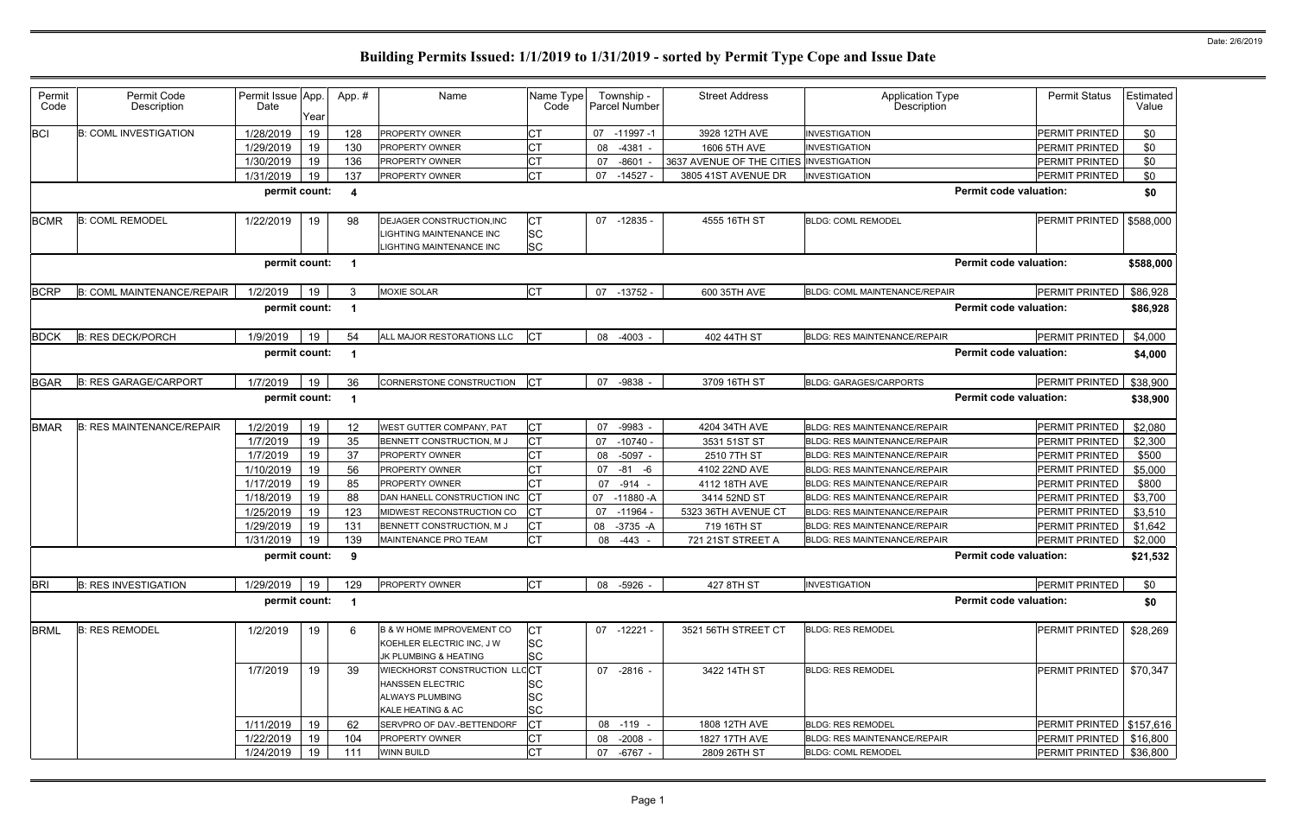| Permit                                                            | Permit Code                       | Permit Issue App. |      | App.#                   | Name                                 | Name Type  |              | Township -           | <b>Street Address</b>                   | <b>Application Type</b>             | <b>Permit Status</b>       | Estimated |
|-------------------------------------------------------------------|-----------------------------------|-------------------|------|-------------------------|--------------------------------------|------------|--------------|----------------------|-----------------------------------------|-------------------------------------|----------------------------|-----------|
| Code                                                              | Description                       | Date              | Year |                         |                                      | Code       |              | <b>Parcel Number</b> |                                         | Description                         |                            | Value     |
| <b>BCI</b>                                                        | <b>B: COML INVESTIGATION</b>      | 1/28/2019         | 19   | 128                     | PROPERTY OWNER                       | <b>CT</b>  | 07 -11997 -1 |                      | 3928 12TH AVE                           | <b>INVESTIGATION</b>                | <b>PERMIT PRINTED</b>      | \$0       |
|                                                                   |                                   | 1/29/2019         | 19   | 130                     | PROPERTY OWNER                       |            | 08           | $-4381 -$            | 1606 5TH AVE                            | <b>INVESTIGATION</b>                | <b>PERMIT PRINTED</b>      | \$0       |
|                                                                   |                                   | 1/30/2019         | 19   | 136                     | PROPERTY OWNER                       | <b>CT</b>  | 07           | $-8601$              | 3637 AVENUE OF THE CITIES INVESTIGATION |                                     | PERMIT PRINTED             | \$0       |
|                                                                   |                                   | 1/31/2019         | 19   | 137                     | PROPERTY OWNER                       | Iст        | 07           | $-14527$             | 3805 41ST AVENUE DR                     | <b>INVESTIGATION</b>                | <b>PERMIT PRINTED</b>      | \$0       |
|                                                                   |                                   | permit count:     |      | $\overline{\mathbf{4}}$ |                                      |            |              |                      |                                         | <b>Permit code valuation:</b>       |                            | \$0       |
| <b>BCMR</b>                                                       | <b>B: COML REMODEL</b>            | 1/22/2019         | 19   | 98                      | DEJAGER CONSTRUCTION, INC            | СT         |              | 07 -12835 -          | 4555 16TH ST                            | <b>BLDG: COML REMODEL</b>           | PERMIT PRINTED             | \$588,000 |
|                                                                   |                                   |                   |      |                         | LIGHTING MAINTENANCE INC             | <b>SC</b>  |              |                      |                                         |                                     |                            |           |
|                                                                   |                                   |                   |      |                         | LIGHTING MAINTENANCE INC             | <b>SC</b>  |              |                      |                                         |                                     |                            |           |
| <b>Permit code valuation:</b><br>permit count:<br>\$588,000<br>-1 |                                   |                   |      |                         |                                      |            |              |                      |                                         |                                     |                            |           |
| <b>BCRP</b>                                                       | <b>B: COML MAINTENANCE/REPAIR</b> | 1/2/2019          | 19   |                         | <b>MOXIE SOLAR</b>                   | <b>ICT</b> |              | 07 -13752 -          | 600 35TH AVE                            | BLDG: COML MAINTENANCE/REPAIR       | PERMIT PRINTED             | \$86,928  |
|                                                                   |                                   | permit count:     |      | - 1                     |                                      |            |              |                      |                                         | <b>Permit code valuation:</b>       |                            | \$86,928  |
| <b>BDCK</b>                                                       | <b>B: RES DECK/PORCH</b>          | 1/9/2019          | 19   | 54                      | ALL MAJOR RESTORATIONS LLC           | <b>CT</b>  | 08 -4003     |                      | 402 44TH ST                             | <b>BLDG: RES MAINTENANCE/REPAIR</b> | PERMIT PRINTED             | \$4,000   |
|                                                                   |                                   | permit count:     |      | -1                      |                                      |            |              |                      |                                         | <b>Permit code valuation:</b>       |                            | \$4,000   |
| <b>BGAR</b>                                                       | <b>B: RES GARAGE/CARPORT</b>      | 1/7/2019          | 19   | 36                      | <b>CORNERSTONE CONSTRUCTION</b>      |            | 07           | -9838                | 3709 16TH ST                            | <b>BLDG: GARAGES/CARPORTS</b>       | <b>PERMIT PRINTED</b>      | \$38,900  |
|                                                                   |                                   | permit count:     |      | -1                      |                                      |            |              |                      |                                         | <b>Permit code valuation:</b>       |                            | \$38,900  |
|                                                                   |                                   |                   |      |                         |                                      |            |              |                      |                                         |                                     |                            |           |
| <b>BMAR</b>                                                       | <b>B: RES MAINTENANCE/REPAIR</b>  | 1/2/2019          | 19   | 12                      | WEST GUTTER COMPANY, PAT             | <b>CT</b>  | 07           | $-9983$              | 4204 34TH AVE                           | <b>BLDG: RES MAINTENANCE/REPAIR</b> | <b>PERMIT PRINTED</b>      | \$2,080   |
|                                                                   |                                   | 1/7/2019          | 19   | 35                      | BENNETT CONSTRUCTION, M J            | СT         | 07           | $-10740 -$           | 3531 51ST ST                            | <b>BLDG: RES MAINTENANCE/REPAIR</b> | PERMIT PRINTED             | \$2,300   |
|                                                                   |                                   | 1/7/2019          | 19   | 37                      | PROPERTY OWNER                       |            | 08           | $-5097 -$            | 2510 7TH ST                             | <b>BLDG: RES MAINTENANCE/REPAIR</b> | <b>PERMIT PRINTED</b>      | \$500     |
|                                                                   |                                   | 1/10/2019         | 19   | 56                      | PROPERTY OWNER                       | СT         | 07           | $-81$<br>-6          | 4102 22ND AVE                           | <b>BLDG: RES MAINTENANCE/REPAIR</b> | PERMIT PRINTED             | \$5,000   |
|                                                                   |                                   | 1/17/2019         | 19   | 85                      | PROPERTY OWNER                       | <b>CT</b>  | 07           | $-914 -$             | 4112 18TH AVE                           | <b>BLDG: RES MAINTENANCE/REPAIR</b> | PERMIT PRINTED             | \$800     |
|                                                                   |                                   | 1/18/2019         | 19   | 88                      | DAN HANELL CONSTRUCTION INC          | <b>CT</b>  | 07           | $-11880 - A$         | 3414 52ND ST                            | <b>BLDG: RES MAINTENANCE/REPAIR</b> | PERMIT PRINTED             | \$3,700   |
|                                                                   |                                   | 1/25/2019         | 19   | 123                     | MIDWEST RECONSTRUCTION CO            | <b>CT</b>  | 07           | $-11964$             | 5323 36TH AVENUE CT                     | <b>BLDG: RES MAINTENANCE/REPAIR</b> | PERMIT PRINTED             | \$3,510   |
|                                                                   |                                   | 1/29/2019         | 19   | 131                     | BENNETT CONSTRUCTION, M J            | <b>CT</b>  | 08           | $-3735 - A$          | 719 16TH ST                             | <b>BLDG: RES MAINTENANCE/REPAIR</b> | <b>PERMIT PRINTED</b>      | \$1,642   |
|                                                                   |                                   | 1/31/2019         | 19   | 139                     | MAINTENANCE PRO TEAM                 | <b>CT</b>  | 08           | -443                 | 721 21ST STREET A                       | <b>BLDG: RES MAINTENANCE/REPAIR</b> | PERMIT PRINTED             | \$2,000   |
|                                                                   |                                   | permit count:     |      | -9                      |                                      |            |              |                      |                                         | <b>Permit code valuation:</b>       |                            | \$21,532  |
| <b>BRI</b>                                                        | <b>B: RES INVESTIGATION</b>       | 1/29/2019         | 19   | 129                     | PROPERTY OWNER                       | СT         | 08 -5926 -   |                      | 427 8TH ST                              | <b>INVESTIGATION</b>                | PERMIT PRINTED             | \$0       |
|                                                                   |                                   | permit count:     |      | -1                      |                                      |            |              |                      |                                         | <b>Permit code valuation:</b>       |                            | \$0       |
| <b>BRML</b>                                                       | <b>B: RES REMODEL</b>             | 1/2/2019          | 19   | 6                       | <b>B &amp; W HOME IMPROVEMENT CO</b> | <b>CT</b>  |              | $07 - 12221 -$       | 3521 56TH STREET CT                     | <b>BLDG: RES REMODEL</b>            | PERMIT PRINTED             | \$28,269  |
|                                                                   |                                   |                   |      |                         | KOEHLER ELECTRIC INC, JW             | <b>SC</b>  |              |                      |                                         |                                     |                            |           |
|                                                                   |                                   |                   |      |                         | JK PLUMBING & HEATING                | SC         |              |                      |                                         |                                     |                            |           |
|                                                                   |                                   | 1/7/2019          | 19   | 39                      | WIECKHORST CONSTRUCTION LLCCT        |            |              | 07 -2816 -           | 3422 14TH ST                            | <b>BLDG: RES REMODEL</b>            | PERMIT PRINTED             | \$70,347  |
|                                                                   |                                   |                   |      |                         | <b>HANSSEN ELECTRIC</b>              | SC         |              |                      |                                         |                                     |                            |           |
|                                                                   |                                   |                   |      |                         | <b>ALWAYS PLUMBING</b>               | SC         |              |                      |                                         |                                     |                            |           |
|                                                                   |                                   |                   |      |                         | KALE HEATING & AC                    | SC         |              |                      |                                         |                                     |                            |           |
|                                                                   |                                   | 1/11/2019         | 19   | 62                      | SERVPRO OF DAV.-BETTENDORF           | <b>CT</b>  | 08 -119      |                      | 1808 12TH AVE                           | <b>BLDG: RES REMODEL</b>            | PERMIT PRINTED   \$157,616 |           |
|                                                                   |                                   | 1/22/2019         | 19   | 104                     | PROPERTY OWNER                       | <b>CT</b>  | 08           | $-2008 -$            | 1827 17TH AVE                           | <b>BLDG: RES MAINTENANCE/REPAIR</b> | PERMIT PRINTED             | \$16,800  |
|                                                                   |                                   | 1/24/2019         | 19   | 111                     | WINN BUILD                           | <b>CT</b>  | 07           | -6767 -              | 2809 26TH ST                            | <b>BLDG: COML REMODEL</b>           | PERMIT PRINTED             | \$36,800  |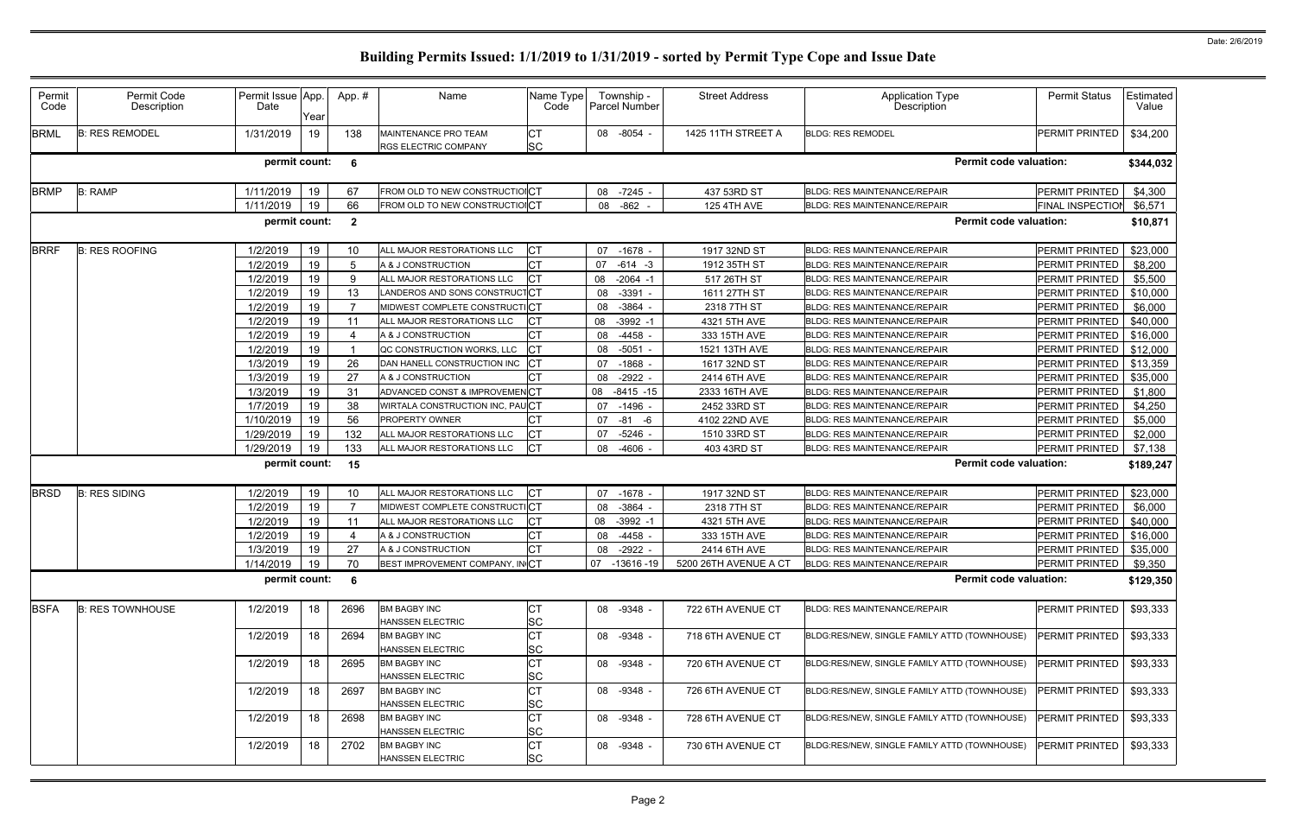| Permit<br>Code | Permit Code<br>Description | Permit Issue App.<br>Date | Year | App.#                   | Name                                                | Name Type<br>Code      | Township -<br>Parcel Number | <b>Street Address</b>               | <b>Application Type</b><br>Description       | <b>Permit Status</b>     | Estimated<br>Value |
|----------------|----------------------------|---------------------------|------|-------------------------|-----------------------------------------------------|------------------------|-----------------------------|-------------------------------------|----------------------------------------------|--------------------------|--------------------|
| <b>BRML</b>    | <b>B: RES REMODEL</b>      | 1/31/2019                 | 19   | 138                     | MAINTENANCE PRO TEAM<br><b>RGS ELECTRIC COMPANY</b> | <b>CT</b><br><b>SC</b> | 08 -8054 -                  | 1425 11TH STREET A                  | <b>BLDG: RES REMODEL</b>                     | PERMIT PRINTED           | \$34,200           |
|                |                            | permit count:             |      | 6                       |                                                     |                        |                             |                                     | <b>Permit code valuation:</b>                |                          | \$344,032          |
| <b>BRMP</b>    | <b>B: RAMP</b>             | 1/11/2019                 | 19   | 67                      | FROM OLD TO NEW CONSTRUCTIOICT                      |                        | 08 -7245 -                  | 437 53RD ST                         | BLDG: RES MAINTENANCE/REPAIR                 | PERMIT PRINTED           | \$4,300            |
|                |                            | 1/11/2019                 | 19   | 66                      | FROM OLD TO NEW CONSTRUCTIONCT                      |                        | $-862$<br>08                | <b>125 4TH AVE</b>                  | BLDG: RES MAINTENANCE/REPAIR                 | <b>FINAL INSPECTIOI</b>  | \$6,571            |
|                |                            | permit count:             |      | $\overline{\mathbf{2}}$ |                                                     |                        |                             |                                     | <b>Permit code valuation:</b>                |                          | \$10,871           |
| <b>BRRF</b>    | <b>B: RES ROOFING</b>      | 1/2/2019                  | 19   | 10                      | ALL MAJOR RESTORATIONS LLC                          | <b>CT</b>              | 07 -1678 -                  | 1917 32ND ST                        | <b>BLDG: RES MAINTENANCE/REPAIR</b>          | PERMIT PRINTED           | \$23,000           |
|                |                            | 1/2/2019                  | 19   | 5                       | A & J CONSTRUCTION                                  |                        | 07<br>-614 -3               | 1912 35TH ST                        | BLDG: RES MAINTENANCE/REPAIR                 | PERMIT PRINTED           | \$8,200            |
|                |                            | 1/2/2019                  | 19   | 9                       | ALL MAJOR RESTORATIONS LLC                          |                        | $-2064 - 1$<br>08           | 517 26TH ST                         | <b>BLDG: RES MAINTENANCE/REPAIR</b>          | PERMIT PRINTED           | \$5,500            |
|                |                            | 1/2/2019                  | 19   | 13                      | ANDEROS AND SONS CONSTRUCTCT                        |                        | $-3391$<br>08               | 1611 27TH ST                        | <b>BLDG: RES MAINTENANCE/REPAIR</b>          | PERMIT PRINTED           | \$10,000           |
|                |                            | 1/2/2019                  | 19   |                         | MIDWEST COMPLETE CONSTRUCTICT                       |                        | $-3864$<br>08               | 2318 7TH ST                         | <b>BLDG: RES MAINTENANCE/REPAIR</b>          | PERMIT PRINTED           | \$6,000            |
|                |                            | 1/2/2019                  | 19   | 11                      | ALL MAJOR RESTORATIONS LLC                          |                        | $-3992 - 1$<br>08           | 4321 5TH AVE                        | BLDG: RES MAINTENANCE/REPAIR                 | PERMIT PRINTED           | \$40,000           |
|                |                            | 1/2/2019                  | 19   |                         | A & J CONSTRUCTION                                  |                        | $-4458$<br>08               | 333 15TH AVE                        | <b>BLDG: RES MAINTENANCE/REPAIR</b>          | PERMIT PRINTED           | \$16,000           |
|                |                            | 1/2/2019                  | 19   |                         | QC CONSTRUCTION WORKS, LLC                          | <b>CT</b>              | $-5051$<br>08               | 1521 13TH AVE                       | <b>BLDG: RES MAINTENANCE/REPAIR</b>          | PERMIT PRINTED           | \$12,000           |
|                |                            | 1/3/2019                  | 19   | 26                      | DAN HANELL CONSTRUCTION INC                         |                        | 07<br>$-1868$               | 1617 32ND ST                        | <b>BLDG: RES MAINTENANCE/REPAIR</b>          | PERMIT PRINTED           | \$13,359           |
|                |                            | 1/3/2019                  | 19   | 27                      | A & J CONSTRUCTION                                  |                        | $-2922 -$<br>08             | 2414 6TH AVE                        | <b>BLDG: RES MAINTENANCE/REPAIR</b>          | PERMIT PRINTED           | \$35,000           |
|                |                            | 1/3/2019                  | 19   | 31                      | ADVANCED CONST & IMPROVEMENCT                       |                        | 08 -8415 -15                | 2333 16TH AVE                       | BLDG: RES MAINTENANCE/REPAIR                 | PERMIT PRINTED           | \$1,800            |
|                |                            | 1/7/2019                  | 19   | 38                      | WIRTALA CONSTRUCTION INC, PAUCT                     |                        | $-1496$<br>07               | 2452 33RD ST                        | <b>BLDG: RES MAINTENANCE/REPAIR</b>          | PERMIT PRINTED           | \$4,250            |
|                |                            | 1/10/2019                 | 19   | 56                      | PROPERTY OWNER                                      | CT                     | -81 -6<br>07                | 4102 22ND AVE                       | BLDG: RES MAINTENANCE/REPAIR                 | PERMIT PRINTED           | \$5,000            |
|                |                            | 1/29/2019                 | 19   | 132                     | ALL MAJOR RESTORATIONS LLC                          |                        | $-5246$<br>07               | 1510 33RD ST                        | BLDG: RES MAINTENANCE/REPAIR                 | PERMIT PRINTED           | \$2,000            |
|                |                            | 1/29/2019                 | 19   | 133                     | ALL MAJOR RESTORATIONS LLC                          | <b>CT</b>              | -4606<br>08                 | 403 43RD ST                         | BLDG: RES MAINTENANCE/REPAIR                 | PERMIT PRINTED           | \$7,138            |
|                |                            | permit count:             |      | 15                      |                                                     |                        |                             |                                     | <b>Permit code valuation:</b>                |                          | \$189,247          |
| <b>BRSD</b>    | <b>B: RES SIDING</b>       | 1/2/2019                  | 19   | 10                      | ALL MAJOR RESTORATIONS LLC                          |                        | 07 -1678 -                  | 1917 32ND ST                        | <b>BLDG: RES MAINTENANCE/REPAIR</b>          | PERMIT PRINTED           | \$23,000           |
|                |                            | 1/2/2019                  | 19   |                         | MIDWEST COMPLETE CONSTRUCTICT                       |                        | $-3864$<br>08               | 2318 7TH ST                         | <b>BLDG: RES MAINTENANCE/REPAIR</b>          | PERMIT PRINTED           | \$6,000            |
|                |                            | 1/2/2019                  | 19   | 11                      | ALL MAJOR RESTORATIONS LLC                          | <b>CT</b>              | 08<br>$-3992 - 1$           | 4321 5TH AVE                        | BLDG: RES MAINTENANCE/REPAIR                 | PERMIT PRINTED           | \$40,000           |
|                |                            | 1/2/2019                  | 19   |                         | A & J CONSTRUCTION                                  | CT                     | $-4458$<br>08               | 333 15TH AVE                        | BLDG: RES MAINTENANCE/REPAIR                 | PERMIT PRINTED           | \$16,000           |
|                |                            | 1/3/2019                  | 19   | 27                      | A & J CONSTRUCTION                                  | <b>CT</b>              | $-2922 -$<br>08             | 2414 6TH AVE                        | BLDG: RES MAINTENANCE/REPAIR                 | PERMIT PRINTED           | \$35,000           |
|                |                            | 1/14/2019   19            |      | 70                      | BEST IMPROVEMENT COMPANY, IN CT                     |                        |                             | 07 -13616 -19 5200 26TH AVENUE A CT | BLDG: RES MAINTENANCE/REPAIR                 | PERMIT PRINTED   \$9,350 |                    |
|                |                            | permit count: 6           |      |                         |                                                     |                        |                             |                                     | <b>Permit code valuation:</b>                |                          | \$129,350          |
| <b>BSFA</b>    | <b>B: RES TOWNHOUSE</b>    | 1/2/2019                  | 18   | 2696                    | <b>BM BAGBY INC</b><br>HANSSEN ELECTRIC             | <b>CT</b><br><b>SC</b> | 08 -9348 -                  | 722 6TH AVENUE CT                   | BLDG: RES MAINTENANCE/REPAIR                 | PERMIT PRINTED           | \$93,333           |
|                |                            | 1/2/2019                  | 18   | 2694                    | <b>BM BAGBY INC</b>                                 | <b>CT</b>              | 08 -9348 -                  | 718 6TH AVENUE CT                   | BLDG:RES/NEW, SINGLE FAMILY ATTD (TOWNHOUSE) | PERMIT PRINTED           | \$93,333           |
|                |                            |                           |      |                         | HANSSEN ELECTRIC                                    | <b>SC</b>              |                             |                                     |                                              |                          |                    |
|                |                            | 1/2/2019                  | 18   | 2695                    | <b>BM BAGBY INC</b><br>HANSSEN ELECTRIC             | <b>CT</b><br><b>SC</b> | 08 -9348 -                  | 720 6TH AVENUE CT                   | BLDG:RES/NEW, SINGLE FAMILY ATTD (TOWNHOUSE) | PERMIT PRINTED           | \$93,333           |
|                |                            | 1/2/2019                  | 18   | 2697                    | <b>BM BAGBY INC</b><br>HANSSEN ELECTRIC             | <b>CT</b><br><b>SC</b> | 08 -9348 -                  | 726 6TH AVENUE CT                   | BLDG:RES/NEW, SINGLE FAMILY ATTD (TOWNHOUSE) | PERMIT PRINTED           | \$93,333           |
|                |                            | 1/2/2019                  | 18   | 2698                    | <b>BM BAGBY INC</b><br>HANSSEN ELECTRIC             | <b>CT</b><br><b>SC</b> | 08 -9348 -                  | 728 6TH AVENUE CT                   | BLDG:RES/NEW, SINGLE FAMILY ATTD (TOWNHOUSE) | PERMIT PRINTED           | \$93,333           |
|                |                            | 1/2/2019                  | 18   | 2702                    | <b>BM BAGBY INC</b><br>HANSSEN ELECTRIC             | <b>CT</b><br><b>SC</b> | 08 -9348 -                  | 730 6TH AVENUE CT                   | BLDG:RES/NEW, SINGLE FAMILY ATTD (TOWNHOUSE) | PERMIT PRINTED           | \$93,333           |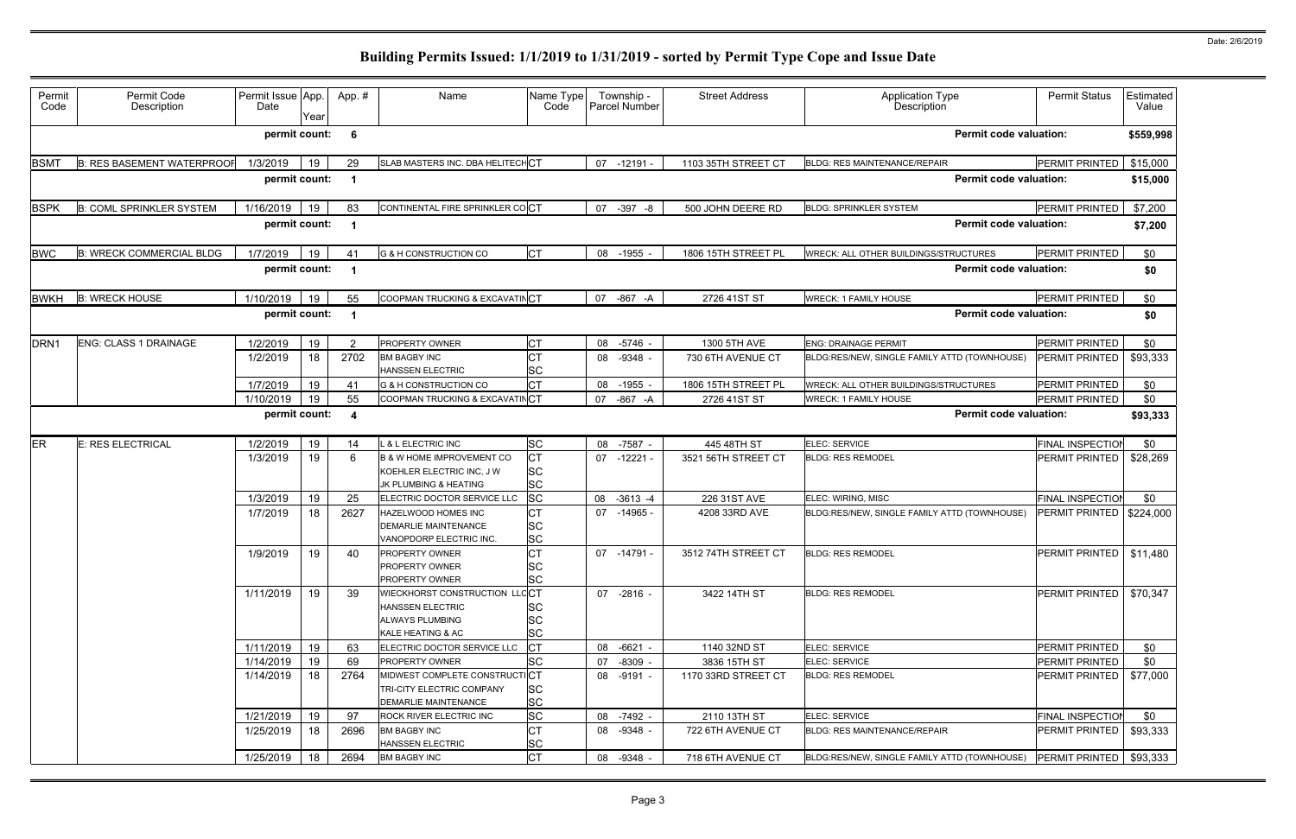| Permit<br>Code   | Permit Code<br>Description        | Permit Issue App.<br>Date | Year | App.#                   | Name                                                                                             | Name Type<br>Code                   | Township -<br>Parcel Number | <b>Street Address</b>         | <b>Application Type</b><br>Description       | <b>Permit Status</b>      | Estimated<br>Value |
|------------------|-----------------------------------|---------------------------|------|-------------------------|--------------------------------------------------------------------------------------------------|-------------------------------------|-----------------------------|-------------------------------|----------------------------------------------|---------------------------|--------------------|
|                  |                                   | permit count:             |      | 6                       |                                                                                                  |                                     |                             |                               | <b>Permit code valuation:</b>                |                           | \$559,998          |
| <b>BSMT</b>      | <b>B: RES BASEMENT WATERPROOF</b> | 1/3/2019                  | 19   | 29                      | SLAB MASTERS INC. DBA HELITECHCT                                                                 |                                     | 07 -12191                   | 1103 35TH STREET CT           | <b>BLDG: RES MAINTENANCE/REPAIR</b>          | PERMIT PRINTED            | \$15,000           |
|                  |                                   | permit count:             |      |                         |                                                                                                  |                                     |                             |                               | <b>Permit code valuation:</b>                |                           | \$15,000           |
| <b>BSPK</b>      | <b>B: COML SPRINKLER SYSTEM</b>   | 1/16/2019                 | 19   | 83                      | CONTINENTAL FIRE SPRINKLER COCT                                                                  |                                     | 07 -397 -8                  | 500 JOHN DEERE RD             | <b>BLDG: SPRINKLER SYSTEM</b>                | PERMIT PRINTED            | \$7,200            |
|                  |                                   | permit count:             |      |                         |                                                                                                  |                                     |                             |                               | <b>Permit code valuation:</b>                |                           | \$7,200            |
| <b>BWC</b>       | <b>B: WRECK COMMERCIAL BLDG</b>   | 1/7/2019                  | 19   |                         | <b>G &amp; H CONSTRUCTION CO</b>                                                                 | <b>CT</b>                           | 08 -1955 -                  | 1806 15TH STREET PL           | WRECK: ALL OTHER BUILDINGS/STRUCTURES        | PERMIT PRINTED            | \$0                |
|                  |                                   | permit count:             |      |                         |                                                                                                  |                                     |                             |                               | <b>Permit code valuation:</b>                |                           | \$0                |
| <b>BWKH</b>      | <b>B: WRECK HOUSE</b>             | 1/10/2019                 | 19   | 55                      | COOPMAN TRUCKING & EXCAVATINCT                                                                   |                                     | 07 -867 -A                  | 2726 41ST ST                  | <b>WRECK: 1 FAMILY HOUSE</b>                 | PERMIT PRINTED            | \$0                |
|                  |                                   | permit count:             |      |                         |                                                                                                  |                                     |                             | <b>Permit code valuation:</b> |                                              | \$0                       |                    |
| DRN <sub>1</sub> | <b>ENG: CLASS 1 DRAINAGE</b>      | 1/2/2019                  | 19   |                         | <b>PROPERTY OWNER</b>                                                                            | Iст                                 | 08 -5746 -                  | 1300 5TH AVE                  | <b>ENG: DRAINAGE PERMIT</b>                  | PERMIT PRINTED            | \$0                |
|                  |                                   | 1/2/2019                  | 18   | 2702                    | <b>BM BAGBY INC</b><br>HANSSEN ELECTRIC                                                          | <b>SC</b>                           | $-9348 -$<br>08             | 730 6TH AVENUE CT             | BLDG:RES/NEW, SINGLE FAMILY ATTD (TOWNHOUSE) | PERMIT PRINTED            | \$93,333           |
|                  |                                   | 1/7/2019                  | 19   | 41                      | <b>G &amp; H CONSTRUCTION CO</b>                                                                 | <b>CT</b>                           | 08<br>-1955 -               | 1806 15TH STREET PL           | <b>WRECK: ALL OTHER BUILDINGS/STRUCTURES</b> | PERMIT PRINTED            | \$0                |
|                  |                                   | 1/10/2019                 | 19   | 55                      | COOPMAN TRUCKING & EXCAVATINCT                                                                   |                                     | 07 -867 -A                  | 2726 41ST ST                  | <b>WRECK: 1 FAMILY HOUSE</b>                 | PERMIT PRINTED            | \$0                |
|                  |                                   | permit count:             |      | $\overline{\mathbf{4}}$ |                                                                                                  |                                     |                             |                               | <b>Permit code valuation:</b>                |                           | \$93,333           |
| ER               | E: RES ELECTRICAL                 | 1/2/2019                  | 19   | 14                      | & L ELECTRIC INC                                                                                 | <b>SC</b>                           | 08 -7587 -                  | 445 48TH ST                   | ELEC: SERVICE                                | <b>FINAL INSPECTIOI</b>   | \$0                |
|                  |                                   | 1/3/2019                  | 19   | 6                       | <b>B &amp; W HOME IMPROVEMENT CO</b><br>KOEHLER ELECTRIC INC, J W<br>JK PLUMBING & HEATING       | <b>CT</b><br><b>SC</b><br><b>SC</b> | 07 -12221 -                 | 3521 56TH STREET CT           | <b>BLDG: RES REMODEL</b>                     | PERMIT PRINTED            | \$28,269           |
|                  |                                   | 1/3/2019                  | 19   | 25                      | ELECTRIC DOCTOR SERVICE LLC                                                                      | <b>SC</b>                           | 08<br>$-3613 - 4$           | 226 31ST AVE                  | ELEC: WIRING, MISC                           | <b>FINAL INSPECTIOI</b>   | \$0                |
|                  |                                   | 1/7/2019                  | 18   | 2627                    | HAZELWOOD HOMES INC<br><b>DEMARLIE MAINTENANCE</b><br>VANOPDORP ELECTRIC INC.                    | <b>CT</b><br><b>SC</b><br><b>SC</b> | 07 -14965 -                 | 4208 33RD AVE                 | BLDG:RES/NEW, SINGLE FAMILY ATTD (TOWNHOUSE) | PERMIT PRINTED            | \$224,000          |
|                  |                                   | 1/9/2019                  | 19   | 40                      | <b>PROPERTY OWNER</b><br><b>PROPERTY OWNER</b><br>PROPERTY OWNER                                 | <b>CT</b><br><b>SC</b><br><b>SC</b> | 07 -14791 -                 | 3512 74TH STREET CT           | <b>BLDG: RES REMODEL</b>                     | PERMIT PRINTED   \$11,480 |                    |
|                  |                                   | 1/11/2019                 | 19   | 39                      | WIECKHORST CONSTRUCTION LLCCT<br><b>HANSSEN ELECTRIC</b><br>ALWAYS PLUMBING<br>KALE HEATING & AC | <b>SC</b><br><b>SC</b><br><b>SC</b> | 07 -2816 -                  | 3422 14TH ST                  | <b>BLDG: RES REMODEL</b>                     | PERMIT PRINTED            | \$70,347           |
|                  |                                   | 1/11/2019                 | 19   | 63                      | ELECTRIC DOCTOR SERVICE LLC                                                                      | <b>CT</b>                           | 08 -6621 -                  | 1140 32ND ST                  | ELEC: SERVICE                                | <b>PERMIT PRINTED</b>     | \$0                |
|                  |                                   | 1/14/2019                 | 19   | 69                      | PROPERTY OWNER                                                                                   | <b>SC</b>                           | 07 -8309 -                  | 3836 15TH ST                  | ELEC: SERVICE                                | PERMIT PRINTED            | \$0                |
|                  |                                   | 1/14/2019                 | 18   | 2764                    | MIDWEST COMPLETE CONSTRUCTICT<br>TRI-CITY ELECTRIC COMPANY<br>DEMARLIE MAINTENANCE               | <b>SC</b><br><b>SC</b>              | 08 -9191 -                  | 1170 33RD STREET CT           | <b>BLDG: RES REMODEL</b>                     | PERMIT PRINTED            | \$77,000           |
|                  |                                   | 1/21/2019                 | 19   | 97                      | ROCK RIVER ELECTRIC INC                                                                          | <b>SC</b>                           | 08 -7492 -                  | 2110 13TH ST                  | ELEC: SERVICE                                | <b>FINAL INSPECTIOI</b>   | \$0                |
|                  |                                   | 1/25/2019                 | 18   | 2696                    | <b>BM BAGBY INC</b><br>HANSSEN ELECTRIC                                                          | <b>CT</b><br><b>SC</b>              | 08 -9348 -                  | 722 6TH AVENUE CT             | <b>BLDG: RES MAINTENANCE/REPAIR</b>          | <b>PERMIT PRINTED</b>     | \$93,333           |
|                  |                                   | 1/25/2019                 | 18   | 2694                    | <b>BM BAGBY INC</b>                                                                              | <b>CT</b>                           | 08 -9348 -                  | 718 6TH AVENUE CT             | BLDG:RES/NEW, SINGLE FAMILY ATTD (TOWNHOUSE) | PERMIT PRINTED            | \$93,333           |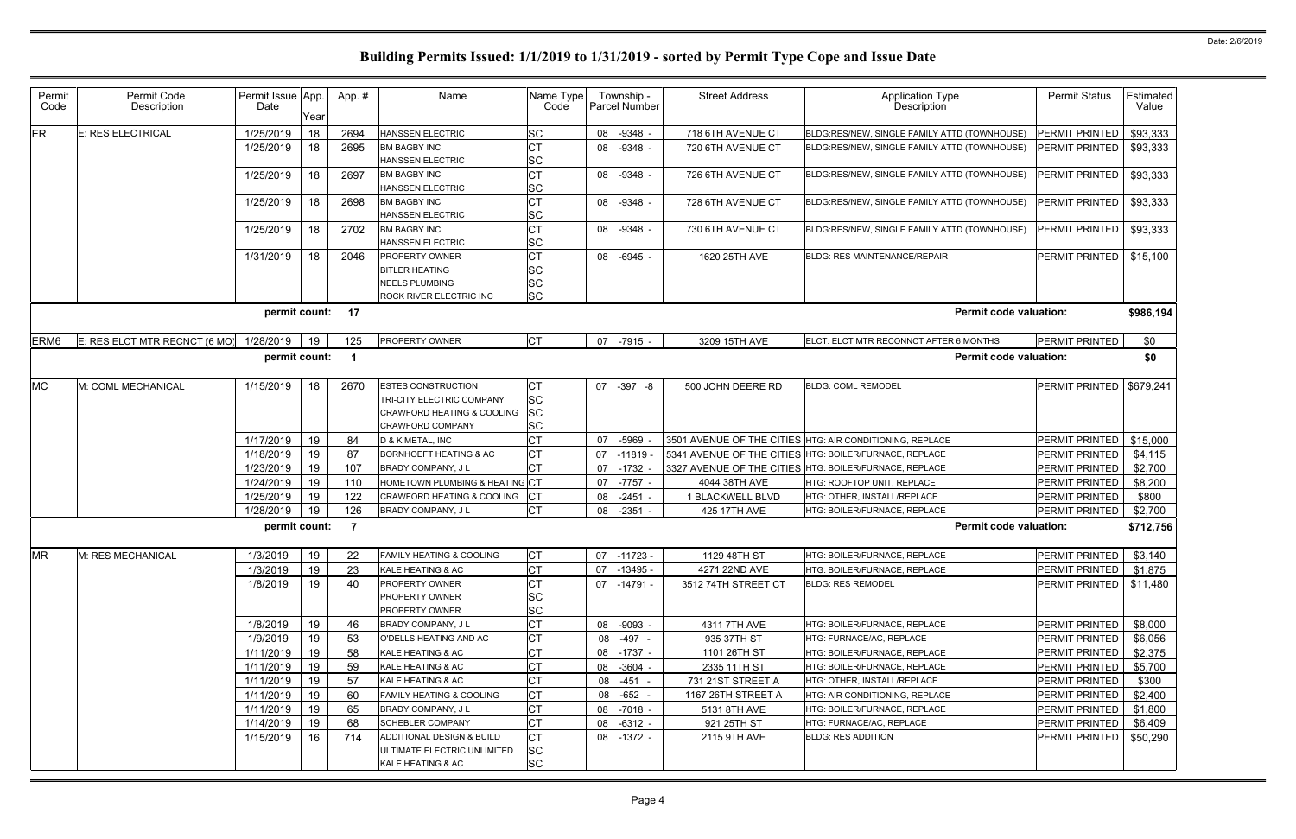| Permit<br>Code   | Permit Code<br>Description                                                                                    | Permit Issue App.<br>Date | Year     | App.#     | Name                                                                                                            | Name Type<br>Code                         |    | Township -<br>Parcel Number | <b>Street Address</b>       | Application Type<br>Description                          | <b>Permit Status</b>                    | <b>Estimated</b><br>Value |  |  |  |
|------------------|---------------------------------------------------------------------------------------------------------------|---------------------------|----------|-----------|-----------------------------------------------------------------------------------------------------------------|-------------------------------------------|----|-----------------------------|-----------------------------|----------------------------------------------------------|-----------------------------------------|---------------------------|--|--|--|
| <b>ER</b>        | <b>E: RES ELECTRICAL</b>                                                                                      | 1/25/2019                 | 18       | 2694      | <b>HANSSEN ELECTRIC</b>                                                                                         | <b>SC</b>                                 | 08 | $-9348 -$                   | 718 6TH AVENUE CT           | BLDG:RES/NEW, SINGLE FAMILY ATTD (TOWNHOUSE)             | <b>PERMIT PRINTED</b>                   | \$93,333                  |  |  |  |
|                  |                                                                                                               | 1/25/2019                 | 18       | 2695      | <b>BM BAGBY INC</b><br>HANSSEN ELECTRIC                                                                         | <b>CT</b><br><b>SC</b>                    | 08 | $-9348 -$                   | 720 6TH AVENUE CT           | BLDG:RES/NEW, SINGLE FAMILY ATTD (TOWNHOUSE)             | <b>PERMIT PRINTED</b>                   | \$93,333                  |  |  |  |
|                  |                                                                                                               | 1/25/2019                 | 18       | 2697      | <b>BM BAGBY INC</b><br><b>HANSSEN ELECTRIC</b>                                                                  | <b>CT</b><br><b>SC</b>                    | 08 | $-9348 -$                   | 726 6TH AVENUE CT           | BLDG:RES/NEW, SINGLE FAMILY ATTD (TOWNHOUSE)             | <b>PERMIT PRINTED</b>                   | \$93,333                  |  |  |  |
|                  |                                                                                                               | 1/25/2019                 | 18       | 2698      | <b>BM BAGBY INC</b><br>HANSSEN ELECTRIC                                                                         | <b>CT</b><br><b>SC</b>                    | 08 | $-9348 -$                   | 728 6TH AVENUE CT           | BLDG:RES/NEW, SINGLE FAMILY ATTD (TOWNHOUSE)             | PERMIT PRINTED                          | \$93,333                  |  |  |  |
|                  |                                                                                                               | 1/25/2019                 | 18       | 2702      | <b>BM BAGBY INC</b><br><b>HANSSEN ELECTRIC</b>                                                                  | <b>CT</b><br><b>SC</b>                    | 08 | $-9348 -$                   | 730 6TH AVENUE CT           | BLDG:RES/NEW, SINGLE FAMILY ATTD (TOWNHOUSE)             | PERMIT PRINTED                          | \$93,333                  |  |  |  |
|                  |                                                                                                               | 1/31/2019                 | 18       | 2046      | PROPERTY OWNER<br><b>BITLER HEATING</b><br><b>NEELS PLUMBING</b>                                                | Iст<br>SC<br><b>SC</b>                    | 08 | $-6945 -$                   | 1620 25TH AVE               | <b>BLDG: RES MAINTENANCE/REPAIR</b>                      | <b>PERMIT PRINTED</b>                   | \$15,100                  |  |  |  |
|                  | <b>SC</b><br><b>ROCK RIVER ELECTRIC INC</b><br><b>Permit code valuation:</b><br>permit count: 17<br>\$986,194 |                           |          |           |                                                                                                                 |                                           |    |                             |                             |                                                          |                                         |                           |  |  |  |
| ERM <sub>6</sub> | E: RES ELCT MTR RECNCT (6 MO)                                                                                 | 1/28/2019                 | 19       | 125       | PROPERTY OWNER                                                                                                  | <b>CT</b>                                 |    | 07 -7915 -                  | 3209 15TH AVE               | ELCT: ELCT MTR RECONNCT AFTER 6 MONTHS                   | PERMIT PRINTED                          | \$0                       |  |  |  |
|                  |                                                                                                               | permit count:             |          |           |                                                                                                                 |                                           |    |                             |                             | <b>Permit code valuation:</b>                            |                                         | \$0                       |  |  |  |
|                  |                                                                                                               |                           |          |           |                                                                                                                 |                                           |    |                             |                             |                                                          |                                         |                           |  |  |  |
| <b>MC</b>        | M: COML MECHANICAL                                                                                            | 1/15/2019                 | 18       | 2670      | <b>ESTES CONSTRUCTION</b><br>TRI-CITY ELECTRIC COMPANY<br>CRAWFORD HEATING & COOLING<br><b>CRAWFORD COMPANY</b> | СT<br><b>SC</b><br><b>SC</b><br><b>SC</b> |    | 07 -397 -8                  | 500 JOHN DEERE RD           | <b>BLDG: COML REMODEI</b>                                | <b>PERMIT PRINTED</b>                   | \$679,241                 |  |  |  |
|                  |                                                                                                               | 1/17/2019                 | 19       | 84        | D & K METAL, INC                                                                                                | <b>CT</b>                                 | 07 | $-5969$                     |                             | 3501 AVENUE OF THE CITIES HTG: AIR CONDITIONING, REPLACE | PERMIT PRINTED                          | \$15,000                  |  |  |  |
|                  |                                                                                                               | 1/18/2019                 | 19       | 87        | BORNHOEFT HEATING & AC                                                                                          | Iст                                       | 07 | -11819                      |                             | 5341 AVENUE OF THE CITIES HTG: BOILER/FURNACE, REPLACE   | PERMIT PRINTED                          | \$4,115                   |  |  |  |
|                  |                                                                                                               | 1/23/2019                 | 19       | 107       | <b>BRADY COMPANY, JL</b>                                                                                        | Iст                                       | 07 | $-1732$                     |                             | 3327 AVENUE OF THE CITIES HTG: BOILER/FURNACE, REPLACE   | <b>PERMIT PRINTED</b>                   | \$2,700                   |  |  |  |
|                  |                                                                                                               | 1/24/2019                 | 19       | 110       | HOMETOWN PLUMBING & HEATING CT                                                                                  |                                           | 07 | $-7757$                     | 4044 38TH AVE               | HTG: ROOFTOP UNIT, REPLACE                               | <b>PERMIT PRINTED</b>                   | \$8,200                   |  |  |  |
|                  |                                                                                                               | 1/25/2019                 | 19       | 122       | CRAWFORD HEATING & COOLING                                                                                      |                                           | 08 | $-2451$                     | 1 BLACKWELL BLVD            | HTG: OTHER, INSTALL/REPLACE                              | PERMIT PRINTED                          | \$800                     |  |  |  |
|                  |                                                                                                               | 1/28/2019                 | 19       | 126       | BRADY COMPANY, J L                                                                                              | <b>CT</b>                                 | 08 | $-2351$                     | 425 17TH AVE                | HTG: BOILER/FURNACE, REPLACE                             | PERMIT PRINTED                          | \$2,700                   |  |  |  |
|                  |                                                                                                               | permit count:             |          | - 7       |                                                                                                                 |                                           |    |                             |                             | <b>Permit code valuation:</b>                            |                                         | \$712,756                 |  |  |  |
| <b>MR</b>        | M: RES MECHANICAL                                                                                             | 1/3/2019                  | 19       | 22        | <b>FAMILY HEATING &amp; COOLING</b>                                                                             | <b>CT</b>                                 |    | $07 - 11723 -$              | 1129 48TH ST                | HTG: BOILER/FURNACE. REPLACE                             | <b>PERMIT PRINTED</b>                   | \$3,140                   |  |  |  |
|                  |                                                                                                               | 1/3/2019                  | 19       | 23        | KALE HEATING & AC                                                                                               | <b>CT</b>                                 |    | 07 -13495 -                 | 4271 22ND AVE               | HTG: BOILER/FURNACE, REPLACE                             | PERMIT PRINTED                          | \$1,875                   |  |  |  |
|                  |                                                                                                               | 1/8/2019                  | 19       | 40        | <b>PROPERTY OWNER</b><br><b>PROPERTY OWNER</b>                                                                  | IСТ<br><b>SC</b>                          |    | 07 -14791 -                 | 3512 74TH STREET CT         | <b>BLDG: RES REMODEL</b>                                 | <b>PERMIT PRINTED</b>                   | \$11,480                  |  |  |  |
|                  |                                                                                                               |                           |          |           | <b>PROPERTY OWNER</b>                                                                                           | <b>SC</b>                                 |    |                             |                             |                                                          |                                         |                           |  |  |  |
|                  |                                                                                                               | 1/8/2019                  | 19       | 46        | <b>BRADY COMPANY, JL</b>                                                                                        | <b>CT</b>                                 | 08 | $-9093 -$                   | 4311 7TH AVE                | HTG: BOILER/FURNACE, REPLACE                             | PERMIT PRINTED                          | \$8,000                   |  |  |  |
|                  |                                                                                                               | 1/9/2019                  | 19       | 53        | O'DELLS HEATING AND AC                                                                                          | <b>CT</b>                                 | 08 | -497 -                      | 935 37TH ST                 | HTG: FURNACE/AC, REPLACE                                 | PERMIT PRINTED                          | \$6,056                   |  |  |  |
|                  |                                                                                                               | 1/11/2019                 | 19       | 58        | KALE HEATING & AC                                                                                               | <b>CT</b>                                 | 08 | -1737 -                     | 1101 26TH ST                | HTG: BOILER/FURNACE, REPLACE                             | PERMIT PRINTED                          | \$2,375                   |  |  |  |
|                  |                                                                                                               | 1/11/2019                 | 19       | 59        | KALE HEATING & AC                                                                                               | <b>CT</b>                                 | 08 | $-3604 -$                   | 2335 11TH ST                | HTG: BOILER/FURNACE, REPLACE                             | PERMIT PRINTED                          | \$5,700                   |  |  |  |
|                  |                                                                                                               | 1/11/2019                 | 19       | 57        | KALE HEATING & AC                                                                                               | Iст                                       | 08 | $-451 -$                    | 731 21ST STREET A           | HTG: OTHER, INSTALL/REPLACE                              | <b>PERMIT PRINTED</b>                   | \$300                     |  |  |  |
|                  |                                                                                                               | 1/11/2019                 | 19       | 60        | <b>FAMILY HEATING &amp; COOLING</b>                                                                             | Iст<br><b>CT</b>                          | 08 | $-652 -$                    | 1167 26TH STREET A          | HTG: AIR CONDITIONING, REPLACE                           | PERMIT PRINTED                          | \$2,400                   |  |  |  |
|                  |                                                                                                               | 1/11/2019<br>1/14/2019    | 19       | 65        | <b>BRADY COMPANY, JL</b><br><b>SCHEBLER COMPANY</b>                                                             | <b>CT</b>                                 | 08 | 08 -7018 -<br>$-6312 -$     | 5131 8TH AVE<br>921 25TH ST | HTG: BOILER/FURNACE, REPLACE<br>HTG: FURNACE/AC, REPLACE | <b>PERMIT PRINTED</b><br>PERMIT PRINTED | \$1,800                   |  |  |  |
|                  |                                                                                                               | 1/15/2019                 | 19<br>16 | 68<br>714 | ADDITIONAL DESIGN & BUILD                                                                                       | <b>CT</b>                                 |    | 08 -1372 -                  | 2115 9TH AVE                | <b>BLDG: RES ADDITION</b>                                | <b>PERMIT PRINTED</b>                   | \$6,409<br>\$50,290       |  |  |  |
|                  |                                                                                                               |                           |          |           | ULTIMATE ELECTRIC UNLIMITED<br>KALE HEATING & AC                                                                | <b>SC</b><br><b>SC</b>                    |    |                             |                             |                                                          |                                         |                           |  |  |  |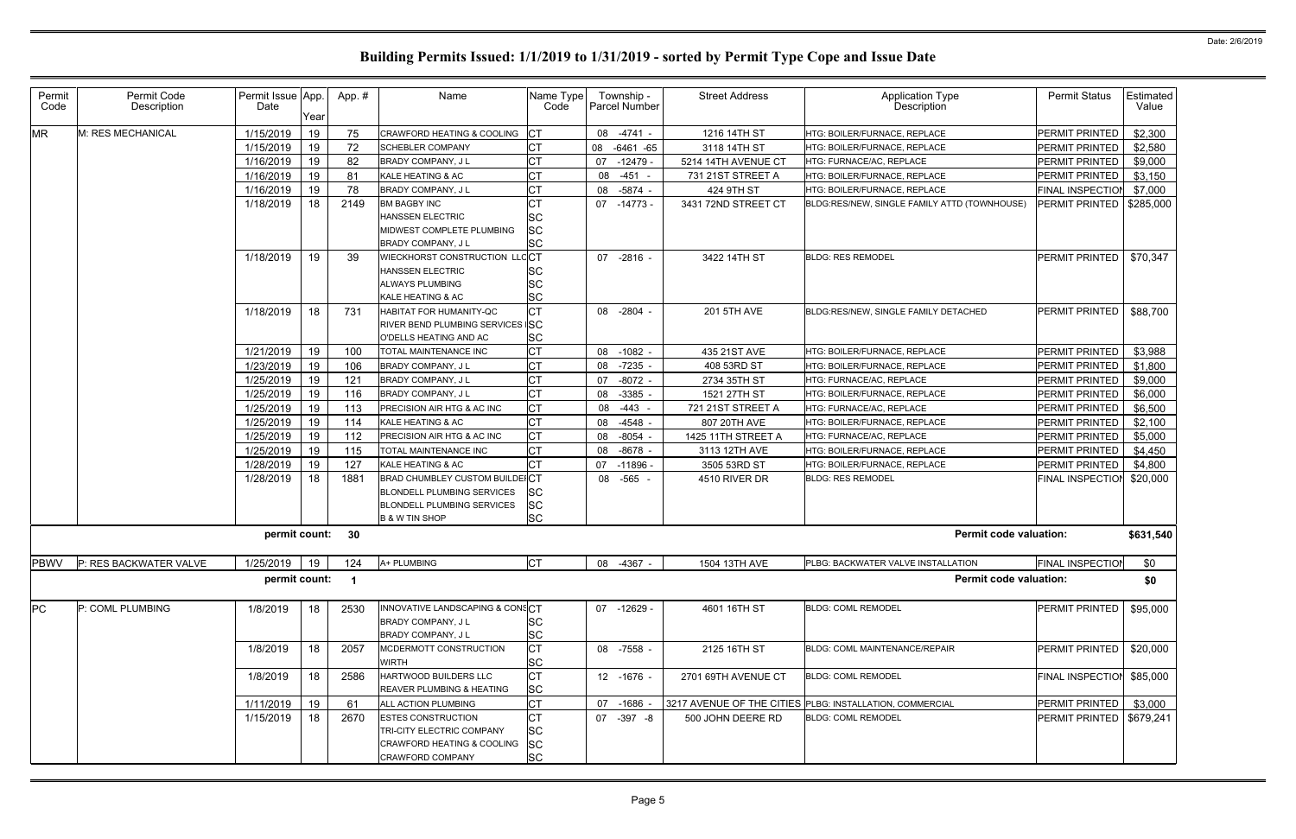| Permit<br>Code | Permit Code<br>Description  | Permit Issue App.<br>Date | Year | App.# | Name                               | Name Type<br>Code      |    | Township -<br>Parcel Number | <b>Street Address</b> | <b>Application Type</b><br>Description                   | <b>Permit Status</b>       | Estimated<br>Value |
|----------------|-----------------------------|---------------------------|------|-------|------------------------------------|------------------------|----|-----------------------------|-----------------------|----------------------------------------------------------|----------------------------|--------------------|
| <b>MR</b>      | M: RES MECHANICAL           | 1/15/2019                 | 19   | 75    | CRAWFORD HEATING & COOLING         | <b>ICT</b>             |    | 08 -4741 -                  | 1216 14TH ST          | HTG: BOILER/FURNACE, REPLACE                             | PERMIT PRINTED             | \$2,300            |
|                |                             | 1/15/2019                 | 19   | 72    | <b>SCHEBLER COMPANY</b>            | Iст                    |    | 08 -6461 -65                | 3118 14TH ST          | HTG: BOILER/FURNACE, REPLACE                             | PERMIT PRINTED             | \$2,580            |
|                |                             | 1/16/2019                 | 19   | 82    | BRADY COMPANY, J L                 | <b>CT</b>              | 07 | -12479 -                    | 5214 14TH AVENUE CT   | HTG: FURNACE/AC, REPLACE                                 | PERMIT PRINTED             | \$9,000            |
|                |                             | 1/16/2019                 | 19   | 81    | KALE HEATING & AC                  | <b>CT</b>              | 08 | $-451 -$                    | 731 21ST STREET A     | HTG: BOILER/FURNACE, REPLACE                             | PERMIT PRINTED             | \$3,150            |
|                |                             | 1/16/2019                 | 19   | 78    | BRADY COMPANY, J L                 | Iст                    | 08 | $-5874 -$                   | 424 9TH ST            | HTG: BOILER/FURNACE, REPLACE                             | <b>FINAL INSPECTIOI</b>    | \$7,000            |
|                |                             | 1/18/2019                 | 18   | 2149  | <b>BM BAGBY INC</b>                | <b>CT</b>              |    | 07 -14773 -                 | 3431 72ND STREET CT   | BLDG:RES/NEW, SINGLE FAMILY ATTD (TOWNHOUSE)             | PERMIT PRINTED             | \$285,000          |
|                |                             |                           |      |       | <b>HANSSEN ELECTRIC</b>            | <b>SC</b>              |    |                             |                       |                                                          |                            |                    |
|                |                             |                           |      |       | MIDWEST COMPLETE PLUMBING          | <b>SC</b>              |    |                             |                       |                                                          |                            |                    |
|                |                             |                           |      |       | <b>BRADY COMPANY, JL</b>           | <b>SC</b>              |    |                             |                       |                                                          |                            |                    |
|                |                             | 1/18/2019                 | 19   | 39    | WIECKHORST CONSTRUCTION LLCCT      |                        |    | 07 -2816 -                  | 3422 14TH ST          | <b>BLDG: RES REMODEL</b>                                 | PERMIT PRINTED             | \$70,347           |
|                |                             |                           |      |       | <b>HANSSEN ELECTRIC</b>            | <b>SC</b>              |    |                             |                       |                                                          |                            |                    |
|                |                             |                           |      |       | <b>ALWAYS PLUMBING</b>             | <b>SC</b>              |    |                             |                       |                                                          |                            |                    |
|                |                             |                           |      |       | KALE HEATING & AC                  | <b>SC</b>              |    |                             |                       |                                                          |                            |                    |
|                |                             | 1/18/2019                 | 18   | 731   | HABITAT FOR HUMANITY-QC            | Iст                    |    | 08 -2804 -                  | 201 5TH AVE           | BLDG:RES/NEW, SINGLE FAMILY DETACHED                     | <b>PERMIT PRINTED</b>      | \$88,700           |
|                |                             |                           |      |       | RIVER BEND PLUMBING SERVICES SC    |                        |    |                             |                       |                                                          |                            |                    |
|                |                             |                           |      |       | O'DELLS HEATING AND AC             | <b>SC</b>              |    |                             |                       |                                                          |                            |                    |
|                |                             | 1/21/2019                 | 19   | 100   | TOTAL MAINTENANCE INC              | Iст                    | 08 | $-1082 -$                   | 435 21ST AVE          | HTG: BOILER/FURNACE, REPLACE                             | PERMIT PRINTED             | \$3,988            |
|                |                             | 1/23/2019                 | 19   | 106   | BRADY COMPANY, J L                 | <b>CT</b>              | 08 | $-7235 -$                   | 408 53RD ST           | HTG: BOILER/FURNACE, REPLACE                             | PERMIT PRINTED             | \$1,800            |
|                |                             | 1/25/2019                 | 19   | 121   | BRADY COMPANY, J L                 | <b>CT</b>              | 07 | $-8072 -$                   | 2734 35TH ST          | HTG: FURNACE/AC, REPLACE                                 | PERMIT PRINTED             | \$9,000            |
|                |                             | 1/25/2019                 | 19   | 116   | <b>BRADY COMPANY, JL</b>           | <b>CT</b>              | 08 | $-3385$                     | 1521 27TH ST          | HTG: BOILER/FURNACE, REPLACE                             | PERMIT PRINTED             | \$6,000            |
|                |                             | 1/25/2019                 | 19   | 113   | PRECISION AIR HTG & AC INC         | <b>CT</b>              | 08 | $-443 -$                    | 721 21ST STREET A     | HTG: FURNACE/AC, REPLACE                                 | PERMIT PRINTED             | \$6,500            |
|                |                             | 1/25/2019                 | 19   | 114   | KALE HEATING & AC                  | <b>CT</b>              | 08 | $-4548$ -                   | 807 20TH AVE          | HTG: BOILER/FURNACE, REPLACE                             | PERMIT PRINTED             | \$2,100            |
|                |                             | 1/25/2019                 | 19   | 112   | PRECISION AIR HTG & AC INC         | <b>CT</b>              | 08 | $-8054$ -                   | 1425 11TH STREET A    | HTG: FURNACE/AC, REPLACE                                 | PERMIT PRINTED             | \$5,000            |
|                |                             | 1/25/2019                 | 19   | 115   | TOTAL MAINTENANCE INC              | Iст                    | 08 | $-8678$                     | 3113 12TH AVE         | HTG: BOILER/FURNACE, REPLACE                             | PERMIT PRINTED             | \$4,450            |
|                |                             | 1/28/2019                 | 19   | 127   | KALE HEATING & AC                  | <b>CT</b>              |    | 07 -11896 -                 | 3505 53RD ST          | HTG: BOILER/FURNACE, REPLACE                             | PERMIT PRINTED             | \$4,800            |
|                |                             | 1/28/2019                 | 18   | 1881  | BRAD CHUMBLEY CUSTOM BUILDEICT     |                        | 08 | $-565 -$                    | 4510 RIVER DR         | <b>BLDG: RES REMODEL</b>                                 | FINAL INSPECTION           | \$20,000           |
|                |                             |                           |      |       | BLONDELL PLUMBING SERVICES         | <b>SC</b>              |    |                             |                       |                                                          |                            |                    |
|                |                             |                           |      |       | <b>BLONDELL PLUMBING SERVICES</b>  | <b>SC</b><br><b>SC</b> |    |                             |                       |                                                          |                            |                    |
|                |                             | permit count: 30          |      |       | <b>B &amp; W TIN SHOP</b>          |                        |    |                             |                       | <b>Permit code valuation:</b>                            |                            | \$631,540          |
|                |                             |                           |      |       |                                    |                        |    |                             |                       |                                                          |                            |                    |
|                | PBWV P: RES BACKWATER VALVE |                           |      |       | 1/25/2019   19   124   A+ PLUMBING | <b>CT</b>              |    | 08 -4367 -                  | 1504 13TH AVE         | PLBG: BACKWATER VALVE INSTALLATION                       | <b>FINAL INSPECTION</b>    | \$0                |
|                |                             | permit count: 1           |      |       |                                    |                        |    |                             |                       | <b>Permit code valuation:</b>                            |                            | \$0                |
| PC             | P: COML PLUMBING            | 1/8/2019                  | 18   | 2530  | INNOVATIVE LANDSCAPING & CONSCT    |                        |    | 07 -12629 -                 | 4601 16TH ST          | <b>BLDG: COML REMODEL</b>                                | PERMIT PRINTED             | \$95,000           |
|                |                             |                           |      |       | <b>BRADY COMPANY, JL</b>           | <b>SC</b>              |    |                             |                       |                                                          |                            |                    |
|                |                             |                           |      |       | BRADY COMPANY, J L                 | <b>SC</b>              |    |                             |                       |                                                          |                            |                    |
|                |                             | 1/8/2019                  | 18   | 2057  | MCDERMOTT CONSTRUCTION             | <b>CT</b>              |    | 08 -7558 -                  | 2125 16TH ST          | BLDG: COML MAINTENANCE/REPAIR                            | <b>PERMIT PRINTED</b>      | \$20,000           |
|                |                             |                           |      |       | WIRTH                              | <b>SC</b>              |    |                             |                       |                                                          |                            |                    |
|                |                             | 1/8/2019                  | 18   | 2586  | HARTWOOD BUILDERS LLC              | <b>CT</b>              |    | 12 -1676 -                  | 2701 69TH AVENUE CT   | <b>BLDG: COML REMODEL</b>                                | FINAL INSPECTION           | \$85,000           |
|                |                             |                           |      |       | REAVER PLUMBING & HEATING          | <b>SC</b>              |    |                             |                       |                                                          |                            |                    |
|                |                             | 1/11/2019                 | 19   | 61    | <b>ALL ACTION PLUMBING</b>         | <b>CT</b>              |    | 07 -1686                    |                       | 3217 AVENUE OF THE CITIES PLBG: INSTALLATION, COMMERCIAL | PERMIT PRINTED             | \$3,000            |
|                |                             | 1/15/2019                 | 18   | 2670  | <b>ESTES CONSTRUCTION</b>          | <b>CT</b>              |    | 07 -397 -8                  | 500 JOHN DEERE RD     | <b>BLDG: COML REMODEL</b>                                | PERMIT PRINTED   \$679,241 |                    |
|                |                             |                           |      |       | TRI-CITY ELECTRIC COMPANY          | <b>SC</b>              |    |                             |                       |                                                          |                            |                    |
|                |                             |                           |      |       | CRAWFORD HEATING & COOLING         | <b>SC</b>              |    |                             |                       |                                                          |                            |                    |
|                |                             |                           |      |       | <b>CRAWFORD COMPANY</b>            | <b>SC</b>              |    |                             |                       |                                                          |                            |                    |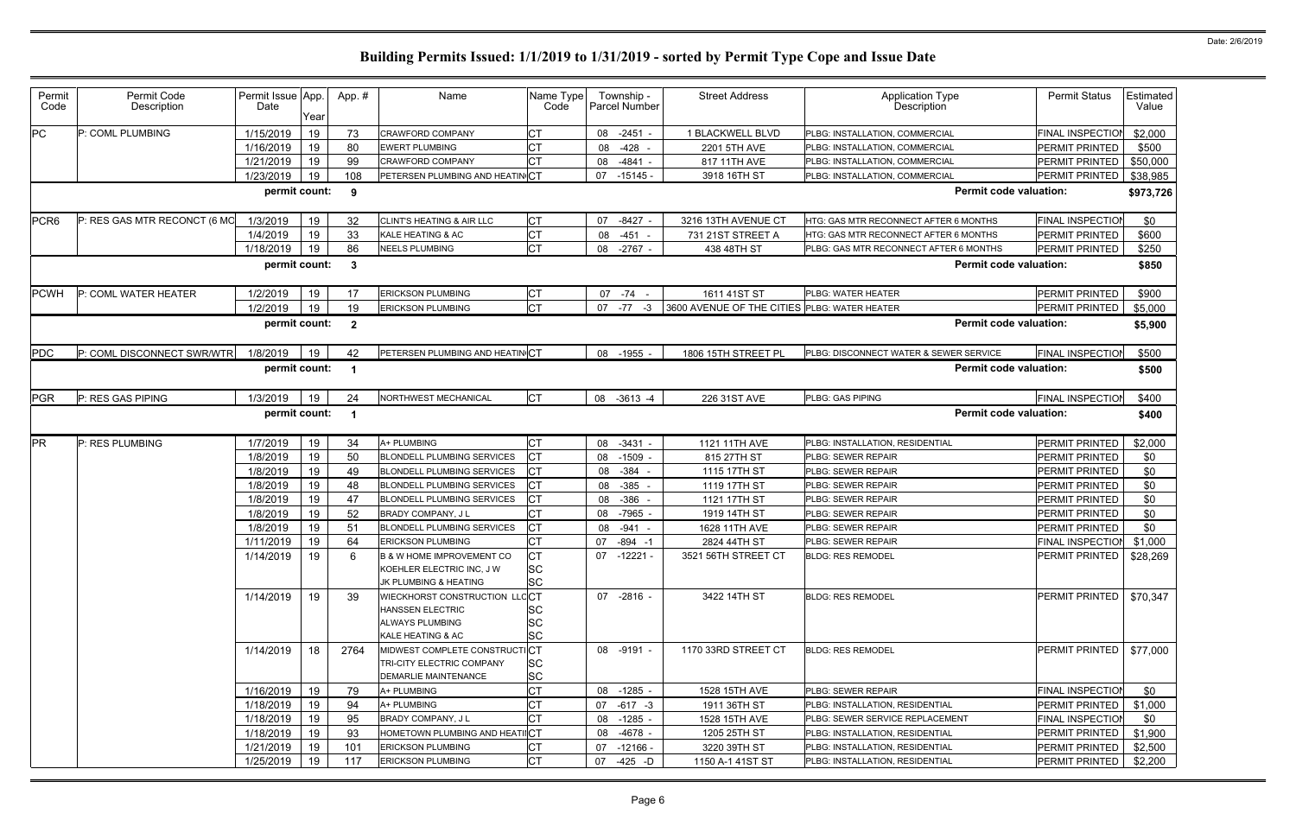| Permit<br>Code   | Permit Code<br>Description   | Permit Issue App.<br>Date | Year | App.#        | Name                                                                                             | Name Type<br>Code             | Township -<br>Parcel Number              | <b>Street Address</b>                        | <b>Application Type</b><br><b>Description</b> | <b>Permit Status</b>    | Estimated<br>Value |
|------------------|------------------------------|---------------------------|------|--------------|--------------------------------------------------------------------------------------------------|-------------------------------|------------------------------------------|----------------------------------------------|-----------------------------------------------|-------------------------|--------------------|
| <b>PC</b>        | P: COML PLUMBING             | 1/15/2019                 | 19   | 73           | <b>CRAWFORD COMPANY</b>                                                                          | СT                            | 08 -2451                                 | 1 BLACKWELL BLVD                             | PLBG: INSTALLATION, COMMERCIAL                | <b>FINAL INSPECTIOI</b> | \$2,000            |
|                  |                              | 1/16/2019                 | 19   | 80           | <b>EWERT PLUMBING</b>                                                                            | <b>CT</b>                     | $-428$<br>08                             | 2201 5TH AVE                                 | PLBG: INSTALLATION, COMMERCIAL                | PERMIT PRINTED          | \$500              |
|                  |                              | 1/21/2019                 | 19   | 99           | <b>CRAWFORD COMPANY</b>                                                                          | <b>CT</b>                     | $-4841 -$<br>08                          | 817 11TH AVE                                 | PLBG: INSTALLATION, COMMERCIAL                | PERMIT PRINTED          | \$50,000           |
|                  |                              | 1/23/2019                 | 19   | 108          | PETERSEN PLUMBING AND HEATIN CT                                                                  |                               | 07 -15145                                | 3918 16TH ST                                 | PLBG: INSTALLATION, COMMERCIAL                | PERMIT PRINTED          | \$38,985           |
|                  |                              | permit count:             |      | 9            |                                                                                                  |                               |                                          |                                              | <b>Permit code valuation:</b>                 |                         | \$973,726          |
| PCR <sub>6</sub> | P: RES GAS MTR RECONCT (6 MC | 1/3/2019                  | 19   | 32           | CLINT'S HEATING & AIR LLC                                                                        | СT                            | $-8427$<br>07                            | 3216 13TH AVENUE CT                          | HTG: GAS MTR RECONNECT AFTER 6 MONTHS         | <b>FINAL INSPECTIO</b>  | \$0                |
|                  |                              | 1/4/2019                  | 19   | 33           | KALE HEATING & AC                                                                                | <b>CT</b>                     | $-451 -$<br>08                           | 731 21ST STREET A                            | <b>HTG: GAS MTR RECONNECT AFTER 6 MONTHS</b>  | <b>PERMIT PRINTED</b>   | \$600              |
|                  |                              | 1/18/2019                 | 19   | 86           | <b>NEELS PLUMBING</b>                                                                            | <b>CT</b>                     | 08 -2767                                 | 438 48TH ST                                  | PLBG: GAS MTR RECONNECT AFTER 6 MONTHS        | PERMIT PRINTED          | \$250              |
|                  |                              | permit count:             |      | $\mathbf{3}$ |                                                                                                  |                               |                                          |                                              | <b>Permit code valuation:</b>                 |                         | \$850              |
| <b>PCWH</b>      | P: COML WATER HEATER         | 1/2/2019                  | 19   |              | <b>ERICKSON PLUMBING</b>                                                                         | <b>CT</b>                     | 07 - 74 -                                | 1611 41ST ST                                 | PLBG: WATER HEATER                            | PERMIT PRINTED          | \$900              |
|                  |                              | 1/2/2019                  | 19   | 19           | <b>ERICKSON PLUMBING</b>                                                                         | <b>CT</b>                     | 07 -77<br>-3                             | 3600 AVENUE OF THE CITIES PLBG: WATER HEATER |                                               | PERMIT PRINTED          | \$5,000            |
|                  |                              | permit count:             |      | $\mathbf{2}$ |                                                                                                  |                               |                                          |                                              | <b>Permit code valuation:</b>                 |                         | \$5,900            |
| <b>PDC</b>       | P: COML DISCONNECT SWR/WTR   | 1/8/2019                  | 19   | 42           | PETERSEN PLUMBING AND HEATIN CT                                                                  |                               | 08 -1955 -                               | 1806 15TH STREET PL                          | PLBG: DISCONNECT WATER & SEWER SERVICE        | <b>FINAL INSPECTIOI</b> | \$500              |
|                  |                              | permit count:             |      |              |                                                                                                  |                               |                                          |                                              | <b>Permit code valuation:</b>                 |                         | \$500              |
| <b>PGR</b>       | P: RES GAS PIPING            | 1/3/2019                  | 19   | 24           | NORTHWEST MECHANICAL                                                                             | Iст                           | 08 -3613 -4                              | 226 31ST AVE                                 | PLBG: GAS PIPING                              | <b>FINAL INSPECTIO</b>  | \$400              |
|                  |                              | permit count:             |      |              |                                                                                                  |                               |                                          |                                              | <b>Permit code valuation:</b>                 |                         | \$400              |
| PR               | P: RES PLUMBING              | 1/7/2019                  | 19   | 34           | A+ PLUMBING                                                                                      | <b>CT</b>                     | 08 -3431 -                               | 1121 11TH AVE                                | PLBG: INSTALLATION, RESIDENTIAL               | PERMIT PRINTED          | \$2,000            |
|                  |                              | 1/8/2019                  | 19   | 50           | <b>BLONDELL PLUMBING SERVICES</b>                                                                | СT                            | 08 -1509                                 | 815 27TH ST                                  | PLBG: SEWER REPAIR                            | PERMIT PRINTED          | \$0                |
|                  |                              | 1/8/2019                  | 19   | 49           | <b>BLONDELL PLUMBING SERVICES</b>                                                                | <b>CT</b>                     | $-384$<br>08                             | 1115 17TH ST                                 | PLBG: SEWER REPAIR                            | PERMIT PRINTED          | \$0                |
|                  |                              | 1/8/2019                  | 19   | 48           | BLONDELL PLUMBING SERVICES                                                                       | <b>CT</b>                     | -385<br>08                               | 1119 17TH ST                                 | PLBG: SEWER REPAIR                            | PERMIT PRINTED          | \$0                |
|                  |                              | 1/8/2019                  | 19   | 47           | <b>BLONDELL PLUMBING SERVICES</b>                                                                | <b>CT</b>                     | $-386$<br>08                             | 1121 17TH ST                                 | PLBG: SEWER REPAIR                            | PERMIT PRINTED          | \$0                |
|                  |                              | 1/8/2019                  | 19   | 52           | <b>BRADY COMPANY, JL</b>                                                                         | <b>CT</b>                     | -7965<br>08                              | 1919 14TH ST                                 | PLBG: SEWER REPAIR                            | PERMIT PRINTED          | \$0                |
|                  |                              | 1/8/2019                  | 19   | 51           | <b>BLONDELL PLUMBING SERVICES</b>                                                                | <b>CT</b>                     | $-941$<br>08<br>$\overline{\phantom{0}}$ | 1628 11TH AVE                                | PLBG: SEWER REPAIR                            | PERMIT PRINTED          | \$0                |
|                  |                              | 1/11/2019                 | 19   | 64           | <b>ERICKSON PLUMBING</b>                                                                         | <b>CT</b>                     | 07 -894 -1                               | 2824 44TH ST                                 | PLBG: SEWER REPAIR                            | FINAL INSPECTIOI        | \$1,000            |
|                  |                              | 1/14/2019                 | 19   | 6            | <b>B &amp; W HOME IMPROVEMENT CO</b><br>KOEHLER ELECTRIC INC, J W<br>JK PLUMBING & HEATING       | Iст<br><b>SC</b><br><b>SC</b> | $07 - 12221 -$                           | 3521 56TH STREET CT                          | <b>BLDG: RES REMODEL</b>                      | PERMIT PRINTED          | \$28,269           |
|                  |                              | 1/14/2019                 | 19   | 39           | WIECKHORST CONSTRUCTION LLCCT<br><b>HANSSEN ELECTRIC</b><br>ALWAYS PLUMBING<br>KALE HEATING & AC | SC<br><b>SC</b><br>SC         | 07 -2816 -                               | 3422 14TH ST                                 | <b>BLDG: RES REMODEL</b>                      | <b>PERMIT PRINTED</b>   | \$70,347           |
|                  |                              | 1/14/2019                 | 18   | 2764         | MIDWEST COMPLETE CONSTRUCTICT<br>TRI-CITY ELECTRIC COMPANY<br>DEMARLIE MAINTENANCE               | SC<br><b>SC</b>               | 08 -9191 -                               | 1170 33RD STREET CT                          | <b>BLDG: RES REMODEL</b>                      | <b>PERMIT PRINTED</b>   | \$77,000           |
|                  |                              | 1/16/2019                 | 19   | 79           | A+ PLUMBING                                                                                      | <b>CT</b>                     | 08 -1285 -                               | 1528 15TH AVE                                | PLBG: SEWER REPAIR                            | <b>FINAL INSPECTIOI</b> | \$0                |
|                  |                              | 1/18/2019                 | 19   | 94           | A+ PLUMBING                                                                                      | <b>CT</b>                     | 07 -617 -3                               | 1911 36TH ST                                 | PLBG: INSTALLATION, RESIDENTIAL               | PERMIT PRINTED          | \$1,000            |
|                  |                              | 1/18/2019                 | 19   | 95           | BRADY COMPANY, J L                                                                               | <b>CT</b>                     | 08 -1285 -                               | 1528 15TH AVE                                | PLBG: SEWER SERVICE REPLACEMENT               | <b>FINAL INSPECTIOI</b> | \$0                |
|                  |                              | 1/18/2019                 | 19   | 93           | HOMETOWN PLUMBING AND HEATIICT                                                                   |                               | 08 -4678 -                               | 1205 25TH ST                                 | PLBG: INSTALLATION, RESIDENTIAL               | PERMIT PRINTED          | \$1,900            |
|                  |                              | 1/21/2019                 | 19   | 101          | <b>ERICKSON PLUMBING</b>                                                                         | <b>CT</b>                     | 07 -12166 -                              | 3220 39TH ST                                 | PLBG: INSTALLATION, RESIDENTIAL               | PERMIT PRINTED          | \$2,500            |
|                  |                              | 1/25/2019                 | 19   | 117          | <b>ERICKSON PLUMBING</b>                                                                         | <b>CT</b>                     | 07 -425 -D                               | 1150 A-1 41ST ST                             | PLBG: INSTALLATION, RESIDENTIAL               | PERMIT PRINTED          | \$2,200            |